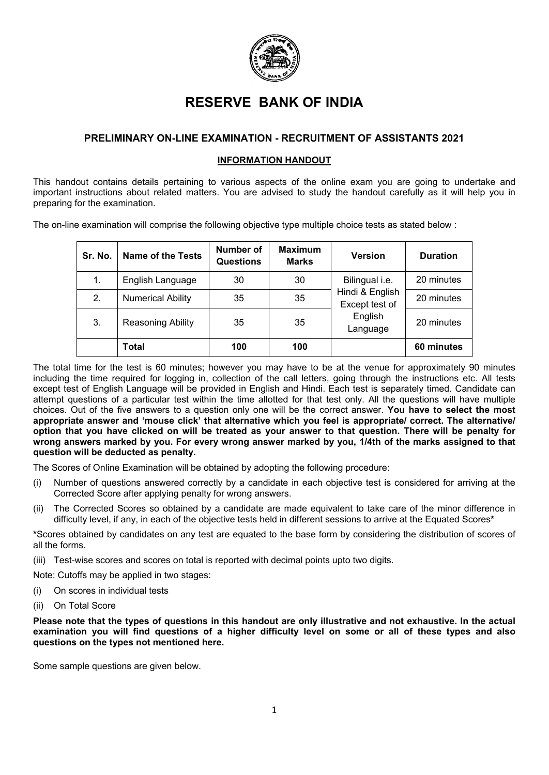

# **RESERVE BANK OF INDIA**

# **PRELIMINARY ON-LINE EXAMINATION - RECRUITMENT OF ASSISTANTS 2021**

# **INFORMATION HANDOUT**

This handout contains details pertaining to various aspects of the online exam you are going to undertake and important instructions about related matters. You are advised to study the handout carefully as it will help you in preparing for the examination.

The on-line examination will comprise the following objective type multiple choice tests as stated below :

| Sr. No. | <b>Name of the Tests</b> | Number of<br><b>Questions</b> | <b>Maximum</b><br><b>Marks</b> | Version                           | <b>Duration</b> |
|---------|--------------------------|-------------------------------|--------------------------------|-----------------------------------|-----------------|
| 1.      | English Language         | 30                            | 30                             | Bilingual i.e.                    | 20 minutes      |
| 2.      | <b>Numerical Ability</b> | 35                            | 35                             | Hindi & English<br>Except test of | 20 minutes      |
| 3.      | Reasoning Ability        | 35                            | 35                             | English<br>Language               | 20 minutes      |
|         | Total                    | 100                           | 100                            |                                   | 60 minutes      |

The total time for the test is 60 minutes; however you may have to be at the venue for approximately 90 minutes including the time required for logging in, collection of the call letters, going through the instructions etc. All tests except test of English Language will be provided in English and Hindi. Each test is separately timed. Candidate can attempt questions of a particular test within the time allotted for that test only. All the questions will have multiple choices. Out of the five answers to a question only one will be the correct answer. **You have to select the most appropriate answer and 'mouse click' that alternative which you feel is appropriate/ correct. The alternative/ option that you have clicked on will be treated as your answer to that question. There will be penalty for wrong answers marked by you. For every wrong answer marked by you, 1/4th of the marks assigned to that question will be deducted as penalty.**

The Scores of Online Examination will be obtained by adopting the following procedure:

- Number of questions answered correctly by a candidate in each objective test is considered for arriving at the Corrected Score after applying penalty for wrong answers.
- (ii) The Corrected Scores so obtained by a candidate are made equivalent to take care of the minor difference in difficulty level, if any, in each of the objective tests held in different sessions to arrive at the Equated Scores**\***

**\***Scores obtained by candidates on any test are equated to the base form by considering the distribution of scores of all the forms.

(iii) Test-wise scores and scores on total is reported with decimal points upto two digits.

Note: Cutoffs may be applied in two stages:

- (i) On scores in individual tests
- (ii) On Total Score

**Please note that the types of questions in this handout are only illustrative and not exhaustive. In the actual examination you will find questions of a higher difficulty level on some or all of these types and also questions on the types not mentioned here.**

Some sample questions are given below.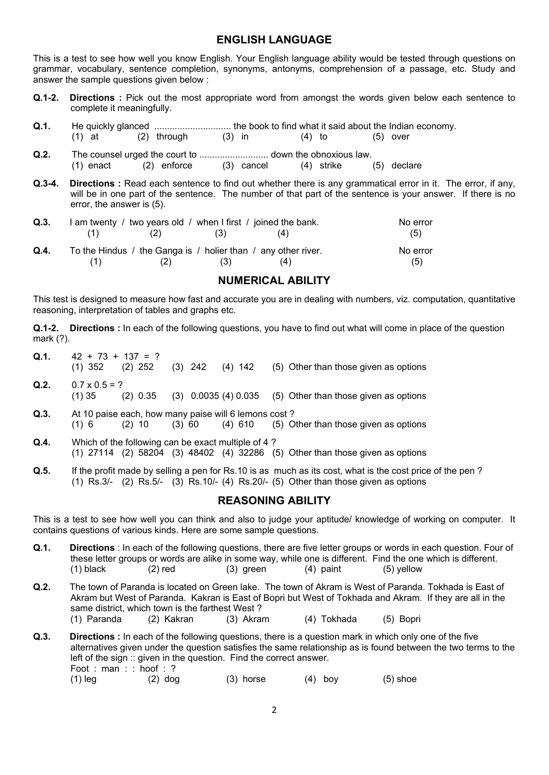# **ENGLISH LANGUAGE**

This is a test to see how well you know English. Your English language ability would be tested through questions on grammar, vocabulary, sentence completion, synonyms, antonyms, comprehension of a passage, etc. Study and answer the sample questions given below :

- **Q.1-2. Directions :** Pick out the most appropriate word from amongst the words given below each sentence to complete it meaningfully.
- **Q.1.** He quickly glanced .............................. the book to find what it said about the Indian economy.
- (1) at (2) through (3) in (4) to (5) over
- **Q.2.** The counsel urged the court to ........................... down the obnoxious law.  $(2)$  enforce
- **Q.3-4. Directions :** Read each sentence to find out whether there is any grammatical error in it. The error, if any, will be in one part of the sentence. The number of that part of the sentence is your answer. If there is no error, the answer is (5).

| Q.3. | I am twenty / two years old / when I first / joined the bank. |     |     |                                                               | No error |
|------|---------------------------------------------------------------|-----|-----|---------------------------------------------------------------|----------|
|      |                                                               | (2) | (3) |                                                               | (5)      |
| Q.4. |                                                               |     |     | To the Hindus / the Ganga is / holier than / any other river. | No error |
|      |                                                               | (2) | (3) | (4)                                                           | (5)      |

# **NUMERICAL ABILITY**

This test is designed to measure how fast and accurate you are in dealing with numbers, viz. computation, quantitative reasoning, interpretation of tables and graphs etc.

**Q.1-2. Directions :** In each of the following questions, you have to find out what will come in place of the question mark (?).

- **Q.1.**  $42 + 73 + 137 = ?$ <br>(1) 352 (2) 252  $(3)$  242  $(4)$  142  $(5)$  Other than those given as options **Q.2.**  $0.7 \times 0.5 = ?$ (1) 35 (2) 0.35 (3) 0.0035 (4) 0.035 (5) Other than those given as options
- **Q.3.** At 10 paise each, how many paise will 6 lemons cost ?<br>(1) 6 (2) 10 (3) 60 (4) 610 (5) O (1) 6 (2) 10 (3) 60 (4) 610 (5) Other than those given as options
- **Q.4.** Which of the following can be exact multiple of 4 ? (1) 27114 (2) 58204 (3) 48402 (4) 32286 (5) Other than those given as options
- **Q.5.** If the profit made by selling a pen for Rs.10 is as much as its cost, what is the cost price of the pen ? (1) Rs.3/- (2) Rs.5/- (3) Rs.10/- (4) Rs.20/- (5) Other than those given as options

# **REASONING ABILITY**

This is a test to see how well you can think and also to judge your aptitude/ knowledge of working on computer. It contains questions of various kinds. Here are some sample questions.

- **Q.1. Directions** : In each of the following questions, there are five letter groups or words in each question. Four of these letter groups or words are alike in some way, while one is different. Find the one which is different.<br>(1) black (2) red (3) green (4) paint (5) yellow (1) black  $(2)$  red  $(3)$  green  $(4)$  paint  $(5)$  yellow
- **Q.2.** The town of Paranda is located on Green lake. The town of Akram is West of Paranda. Tokhada is East of Akram but West of Paranda. Kakran is East of Bopri but West of Tokhada and Akram. If they are all in the same district, which town is the farthest West?<br>(1) Paranda (2) Kakran (3) Akram (1) Paranda (2) Kakran (3) Akram (4) Tokhada (5) Bopri
- **Q.3. Directions :** In each of the following questions, there is a question mark in which only one of the five alternatives given under the question satisfies the same relationship as is found between the two terms to the left of the sign :: given in the question. Find the correct answer. Foot : man : : hoof : ?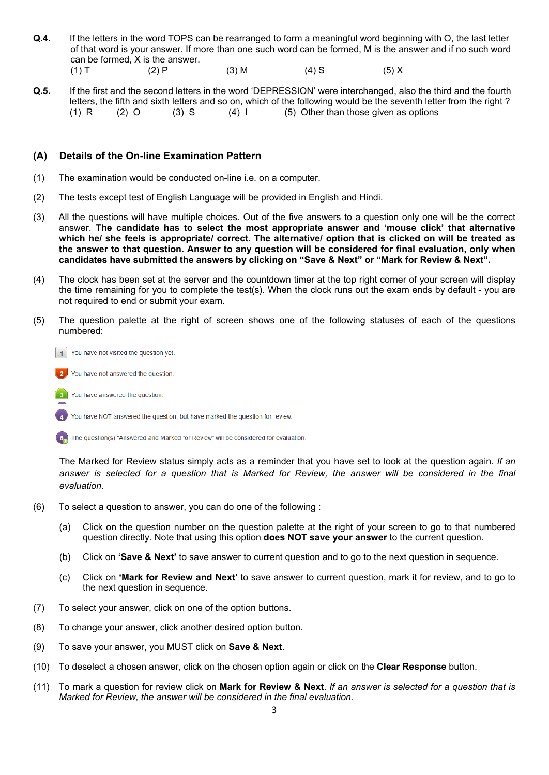- **Q.4.** If the letters in the word TOPS can be rearranged to form a meaningful word beginning with O, the last letter of that word is your answer. If more than one such word can be formed, M is the answer and if no such word can be formed, X is the answer. (1) T (2) P (3) M (4) S (5) X
- **Q.5.** If the first and the second letters in the word 'DEPRESSION' were interchanged, also the third and the fourth letters, the fifth and sixth letters and so on, which of the following would be the seventh letter from the right ?<br>(1) R (2) O (3) S (4) I (5) Other than those given as options  $(5)$  Other than those given as options

## **(A) Details of the On-line Examination Pattern**

- (1) The examination would be conducted on-line i.e. on a computer.
- (2) The tests except test of English Language will be provided in English and Hindi.
- (3) All the questions will have multiple choices. Out of the five answers to a question only one will be the correct answer. **The candidate has to select the most appropriate answer and 'mouse click' that alternative which he/ she feels is appropriate/ correct. The alternative/ option that is clicked on will be treated as the answer to that question. Answer to any question will be considered for final evaluation, only when candidates have submitted the answers by clicking on "Save & Next" or "Mark for Review & Next".**
- (4) The clock has been set at the server and the countdown timer at the top right corner of your screen will display the time remaining for you to complete the test(s). When the clock runs out the exam ends by default - you are not required to end or submit your exam.
- (5) The question palette at the right of screen shows one of the following statuses of each of the questions numbered:

You have not visited the question vet.  $\overline{1}$ 

You have not answered the question.

You have answered the question.

You have NOT answered the question, but have marked the question for review.

The question(s) "Answered and Marked for Review" will be considered for evaluation.

The Marked for Review status simply acts as a reminder that you have set to look at the question again. *If an answer is selected for a question that is Marked for Review, the answer will be considered in the final evaluation.*

- (6) To select a question to answer, you can do one of the following :
	- (a) Click on the question number on the question palette at the right of your screen to go to that numbered question directly. Note that using this option **does NOT save your answer** to the current question.
	- (b) Click on **'Save & Next'** to save answer to current question and to go to the next question in sequence.
	- (c) Click on **'Mark for Review and Next'** to save answer to current question, mark it for review, and to go to the next question in sequence.
- (7) To select your answer, click on one of the option buttons.
- (8) To change your answer, click another desired option button.
- (9) To save your answer, you MUST click on **Save & Next**.
- (10) To deselect a chosen answer, click on the chosen option again or click on the **Clear Response** button.
- (11) To mark a question for review click on **Mark for Review & Next**. *If an answer is selected for a question that is Marked for Review, the answer will be considered in the final evaluation.*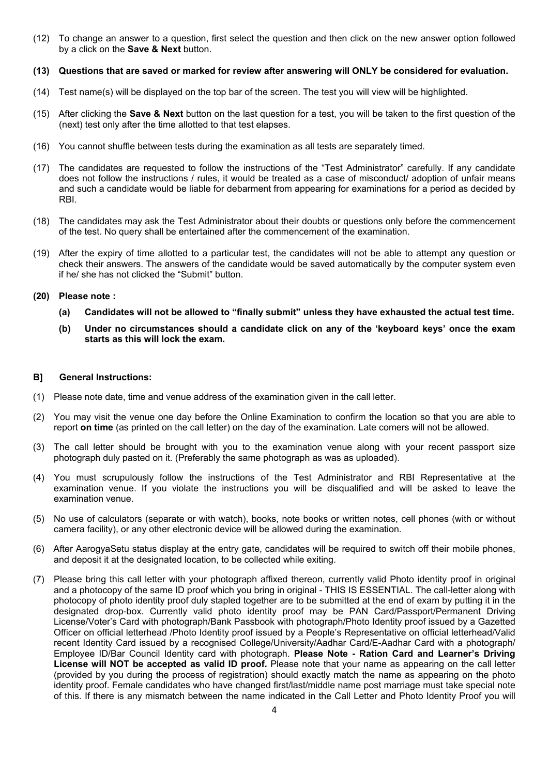(12) To change an answer to a question, first select the question and then click on the new answer option followed by a click on the **Save & Next** button.

#### **(13) Questions that are saved or marked for review after answering will ONLY be considered for evaluation.**

- (14) Test name(s) will be displayed on the top bar of the screen. The test you will view will be highlighted.
- (15) After clicking the **Save & Next** button on the last question for a test, you will be taken to the first question of the (next) test only after the time allotted to that test elapses.
- (16) You cannot shuffle between tests during the examination as all tests are separately timed.
- (17) The candidates are requested to follow the instructions of the "Test Administrator" carefully. If any candidate does not follow the instructions / rules, it would be treated as a case of misconduct/ adoption of unfair means and such a candidate would be liable for debarment from appearing for examinations for a period as decided by RBI.
- (18) The candidates may ask the Test Administrator about their doubts or questions only before the commencement of the test. No query shall be entertained after the commencement of the examination.
- (19) After the expiry of time allotted to a particular test, the candidates will not be able to attempt any question or check their answers. The answers of the candidate would be saved automatically by the computer system even if he/ she has not clicked the "Submit" button.

#### **(20) Please note :**

- **(a) Candidates will not be allowed to "finally submit" unless they have exhausted the actual test time.**
- **(b) Under no circumstances should a candidate click on any of the 'keyboard keys' once the exam starts as this will lock the exam.**

#### **B] General Instructions:**

- (1) Please note date, time and venue address of the examination given in the call letter.
- (2) You may visit the venue one day before the Online Examination to confirm the location so that you are able to report **on time** (as printed on the call letter) on the day of the examination. Late comers will not be allowed.
- (3) The call letter should be brought with you to the examination venue along with your recent passport size photograph duly pasted on it. (Preferably the same photograph as was as uploaded).
- (4) You must scrupulously follow the instructions of the Test Administrator and RBI Representative at the examination venue. If you violate the instructions you will be disqualified and will be asked to leave the examination venue.
- (5) No use of calculators (separate or with watch), books, note books or written notes, cell phones (with or without camera facility), or any other electronic device will be allowed during the examination.
- (6) After AarogyaSetu status display at the entry gate, candidates will be required to switch off their mobile phones, and deposit it at the designated location, to be collected while exiting.
- (7) Please bring this call letter with your photograph affixed thereon, currently valid Photo identity proof in original and a photocopy of the same ID proof which you bring in original - THIS IS ESSENTIAL. The call-letter along with photocopy of photo identity proof duly stapled together are to be submitted at the end of exam by putting it in the designated drop-box. Currently valid photo identity proof may be PAN Card/Passport/Permanent Driving License/Voter's Card with photograph/Bank Passbook with photograph/Photo Identity proof issued by a Gazetted Officer on official letterhead /Photo Identity proof issued by a People's Representative on official letterhead/Valid recent Identity Card issued by a recognised College/University/Aadhar Card/E-Aadhar Card with a photograph/ Employee ID/Bar Council Identity card with photograph. **Please Note - Ration Card and Learner's Driving License will NOT be accepted as valid ID proof.** Please note that your name as appearing on the call letter (provided by you during the process of registration) should exactly match the name as appearing on the photo identity proof. Female candidates who have changed first/last/middle name post marriage must take special note of this. If there is any mismatch between the name indicated in the Call Letter and Photo Identity Proof you will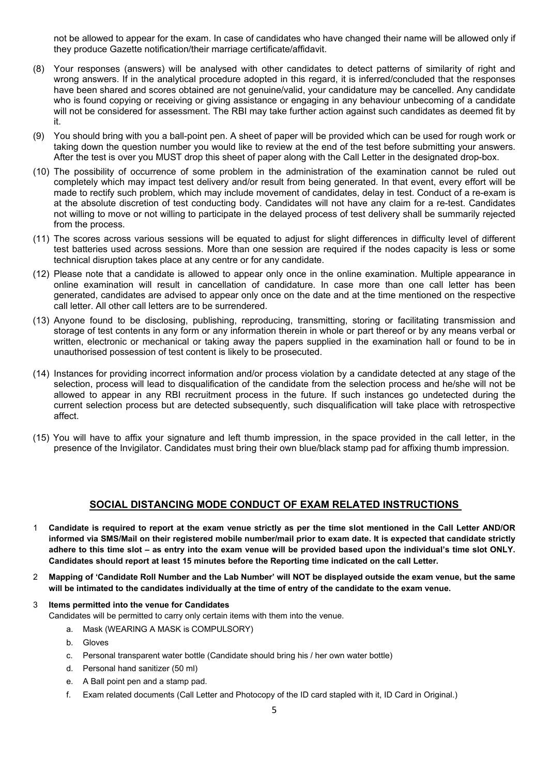not be allowed to appear for the exam. In case of candidates who have changed their name will be allowed only if they produce Gazette notification/their marriage certificate/affidavit.

- (8) Your responses (answers) will be analysed with other candidates to detect patterns of similarity of right and wrong answers. If in the analytical procedure adopted in this regard, it is inferred/concluded that the responses have been shared and scores obtained are not genuine/valid, your candidature may be cancelled. Any candidate who is found copying or receiving or giving assistance or engaging in any behaviour unbecoming of a candidate will not be considered for assessment. The RBI may take further action against such candidates as deemed fit by it.
- (9) You should bring with you a ball-point pen. A sheet of paper will be provided which can be used for rough work or taking down the question number you would like to review at the end of the test before submitting your answers. After the test is over you MUST drop this sheet of paper along with the Call Letter in the designated drop-box.
- (10) The possibility of occurrence of some problem in the administration of the examination cannot be ruled out completely which may impact test delivery and/or result from being generated. In that event, every effort will be made to rectify such problem, which may include movement of candidates, delay in test. Conduct of a re-exam is at the absolute discretion of test conducting body. Candidates will not have any claim for a re-test. Candidates not willing to move or not willing to participate in the delayed process of test delivery shall be summarily rejected from the process.
- (11) The scores across various sessions will be equated to adjust for slight differences in difficulty level of different test batteries used across sessions. More than one session are required if the nodes capacity is less or some technical disruption takes place at any centre or for any candidate.
- (12) Please note that a candidate is allowed to appear only once in the online examination. Multiple appearance in online examination will result in cancellation of candidature. In case more than one call letter has been generated, candidates are advised to appear only once on the date and at the time mentioned on the respective call letter. All other call letters are to be surrendered.
- (13) Anyone found to be disclosing, publishing, reproducing, transmitting, storing or facilitating transmission and storage of test contents in any form or any information therein in whole or part thereof or by any means verbal or written, electronic or mechanical or taking away the papers supplied in the examination hall or found to be in unauthorised possession of test content is likely to be prosecuted.
- (14) Instances for providing incorrect information and/or process violation by a candidate detected at any stage of the selection, process will lead to disqualification of the candidate from the selection process and he/she will not be allowed to appear in any RBI recruitment process in the future. If such instances go undetected during the current selection process but are detected subsequently, such disqualification will take place with retrospective affect.
- (15) You will have to affix your signature and left thumb impression, in the space provided in the call letter, in the presence of the Invigilator. Candidates must bring their own blue/black stamp pad for affixing thumb impression.

## **SOCIAL DISTANCING MODE CONDUCT OF EXAM RELATED INSTRUCTIONS**

- 1 **Candidate is required to report at the exam venue strictly as per the time slot mentioned in the Call Letter AND/OR informed via SMS/Mail on their registered mobile number/mail prior to exam date. It is expected that candidate strictly adhere to this time slot – as entry into the exam venue will be provided based upon the individual's time slot ONLY. Candidates should report at least 15 minutes before the Reporting time indicated on the call Letter.**
- 2 **Mapping of 'Candidate Roll Number and the Lab Number' will NOT be displayed outside the exam venue, but the same will be intimated to the candidates individually at the time of entry of the candidate to the exam venue.**
- 3 **Items permitted into the venue for Candidates** Candidates will be permitted to carry only certain items with them into the venue.
	- a. Mask (WEARING A MASK is COMPULSORY)
	- b. Gloves
	- c. Personal transparent water bottle (Candidate should bring his / her own water bottle)
	- d. Personal hand sanitizer (50 ml)
	- e. A Ball point pen and a stamp pad.
	- f. Exam related documents (Call Letter and Photocopy of the ID card stapled with it, ID Card in Original.)